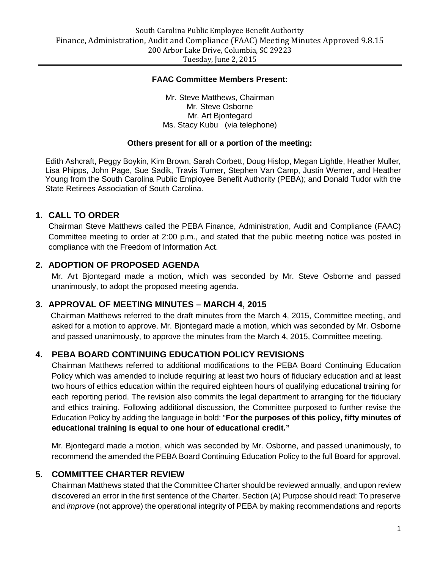#### **FAAC Committee Members Present:**

Mr. Steve Matthews, Chairman Mr. Steve Osborne Mr. Art Bjontegard Ms. Stacy Kubu (via telephone)

#### **Others present for all or a portion of the meeting:**

Edith Ashcraft, Peggy Boykin, Kim Brown, Sarah Corbett, Doug Hislop, Megan Lightle, Heather Muller, Lisa Phipps, John Page, Sue Sadik, Travis Turner, Stephen Van Camp, Justin Werner, and Heather Young from the South Carolina Public Employee Benefit Authority (PEBA); and Donald Tudor with the State Retirees Association of South Carolina.

#### **1. CALL TO ORDER**

Chairman Steve Matthews called the PEBA Finance, Administration, Audit and Compliance (FAAC) Committee meeting to order at 2:00 p.m., and stated that the public meeting notice was posted in compliance with the Freedom of Information Act.

### **2. ADOPTION OF PROPOSED AGENDA**

Mr. Art Bjontegard made a motion, which was seconded by Mr. Steve Osborne and passed unanimously, to adopt the proposed meeting agenda.

### **3. APPROVAL OF MEETING MINUTES – MARCH 4, 2015**

Chairman Matthews referred to the draft minutes from the March 4, 2015, Committee meeting, and asked for a motion to approve. Mr. Bjontegard made a motion, which was seconded by Mr. Osborne and passed unanimously, to approve the minutes from the March 4, 2015, Committee meeting.

### **4. PEBA BOARD CONTINUING EDUCATION POLICY REVISIONS**

Chairman Matthews referred to additional modifications to the PEBA Board Continuing Education Policy which was amended to include requiring at least two hours of fiduciary education and at least two hours of ethics education within the required eighteen hours of qualifying educational training for each reporting period. The revision also commits the legal department to arranging for the fiduciary and ethics training. Following additional discussion, the Committee purposed to further revise the Education Policy by adding the language in bold: "**For the purposes of this policy, fifty minutes of educational training is equal to one hour of educational credit."** 

Mr. Bjontegard made a motion, which was seconded by Mr. Osborne, and passed unanimously, to recommend the amended the PEBA Board Continuing Education Policy to the full Board for approval.

### **5. COMMITTEE CHARTER REVIEW**

Chairman Matthews stated that the Committee Charter should be reviewed annually, and upon review discovered an error in the first sentence of the Charter. Section (A) Purpose should read: To preserve and *improve* (not approve) the operational integrity of PEBA by making recommendations and reports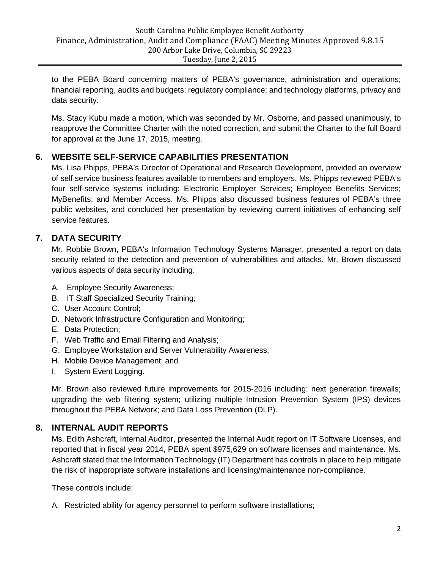to the PEBA Board concerning matters of PEBA's governance, administration and operations; financial reporting, audits and budgets; regulatory compliance; and technology platforms, privacy and data security.

Ms. Stacy Kubu made a motion, which was seconded by Mr. Osborne, and passed unanimously, to reapprove the Committee Charter with the noted correction, and submit the Charter to the full Board for approval at the June 17, 2015, meeting.

# **6. WEBSITE SELF-SERVICE CAPABILITIES PRESENTATION**

Ms. Lisa Phipps, PEBA's Director of Operational and Research Development, provided an overview of self service business features available to members and employers. Ms. Phipps reviewed PEBA's four self-service systems including: Electronic Employer Services; Employee Benefits Services; MyBenefits; and Member Access. Ms. Phipps also discussed business features of PEBA's three public websites, and concluded her presentation by reviewing current initiatives of enhancing self service features.

# **7. DATA SECURITY**

Mr. Robbie Brown, PEBA's Information Technology Systems Manager, presented a report on data security related to the detection and prevention of vulnerabilities and attacks. Mr. Brown discussed various aspects of data security including:

- A. Employee Security Awareness;
- B. IT Staff Specialized Security Training;
- C. User Account Control;
- D. Network Infrastructure Configuration and Monitoring;
- E. Data Protection;
- F. Web Traffic and Email Filtering and Analysis;
- G. Employee Workstation and Server Vulnerability Awareness;
- H. Mobile Device Management; and
- I. System Event Logging.

Mr. Brown also reviewed future improvements for 2015-2016 including: next generation firewalls; upgrading the web filtering system; utilizing multiple Intrusion Prevention System (IPS) devices throughout the PEBA Network; and Data Loss Prevention (DLP).

# **8. INTERNAL AUDIT REPORTS**

Ms. Edith Ashcraft, Internal Auditor, presented the Internal Audit report on IT Software Licenses, and reported that in fiscal year 2014, PEBA spent \$975,629 on software licenses and maintenance. Ms. Ashcraft stated that the Information Technology (IT) Department has controls in place to help mitigate the risk of inappropriate software installations and licensing/maintenance non-compliance.

These controls include:

A. Restricted ability for agency personnel to perform software installations;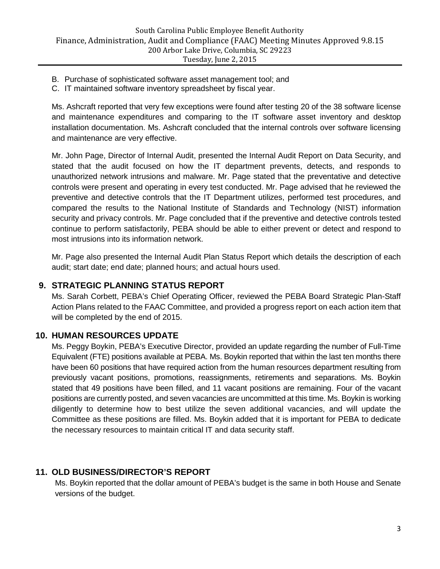- B. Purchase of sophisticated software asset management tool; and
- C. IT maintained software inventory spreadsheet by fiscal year.

Ms. Ashcraft reported that very few exceptions were found after testing 20 of the 38 software license and maintenance expenditures and comparing to the IT software asset inventory and desktop installation documentation. Ms. Ashcraft concluded that the internal controls over software licensing and maintenance are very effective.

Mr. John Page, Director of Internal Audit, presented the Internal Audit Report on Data Security, and stated that the audit focused on how the IT department prevents, detects, and responds to unauthorized network intrusions and malware. Mr. Page stated that the preventative and detective controls were present and operating in every test conducted. Mr. Page advised that he reviewed the preventive and detective controls that the IT Department utilizes, performed test procedures, and compared the results to the National Institute of Standards and Technology (NIST) information security and privacy controls. Mr. Page concluded that if the preventive and detective controls tested continue to perform satisfactorily, PEBA should be able to either prevent or detect and respond to most intrusions into its information network.

Mr. Page also presented the Internal Audit Plan Status Report which details the description of each audit; start date; end date; planned hours; and actual hours used.

# **9. STRATEGIC PLANNING STATUS REPORT**

Ms. Sarah Corbett, PEBA's Chief Operating Officer, reviewed the PEBA Board Strategic Plan-Staff Action Plans related to the FAAC Committee, and provided a progress report on each action item that will be completed by the end of 2015.

# **10. HUMAN RESOURCES UPDATE**

Ms. Peggy Boykin, PEBA's Executive Director, provided an update regarding the number of Full-Time Equivalent (FTE) positions available at PEBA. Ms. Boykin reported that within the last ten months there have been 60 positions that have required action from the human resources department resulting from previously vacant positions, promotions, reassignments, retirements and separations. Ms. Boykin stated that 49 positions have been filled, and 11 vacant positions are remaining. Four of the vacant positions are currently posted, and seven vacancies are uncommitted at this time. Ms. Boykin is working diligently to determine how to best utilize the seven additional vacancies, and will update the Committee as these positions are filled. Ms. Boykin added that it is important for PEBA to dedicate the necessary resources to maintain critical IT and data security staff.

# **11. OLD BUSINESS/DIRECTOR'S REPORT**

Ms. Boykin reported that the dollar amount of PEBA's budget is the same in both House and Senate versions of the budget.